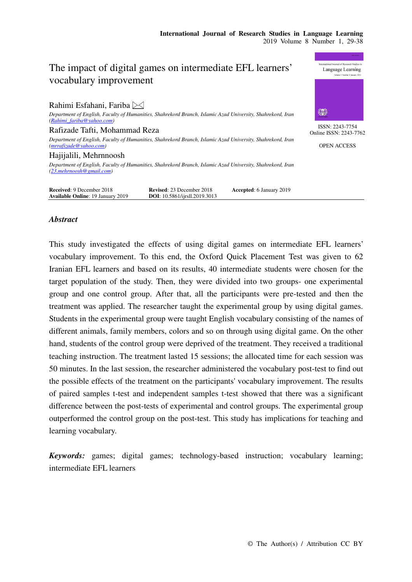ISSN: 2243-7754 Online ISSN: 2243-7762 OPEN ACCESS

纝

Language Learning

# The impact of digital games on intermediate EFL learners' vocabulary improvement

Rahimi Esfahani, Fariba  $\boxtimes$ 

*Department of English, Faculty of Humanities, Shahrekord Branch, Islamic Azad University, Shahrekord, Iran (Rahimi\_fariba@yahoo.com)* 

Rafizade Tafti, Mohammad Reza

*Department of English, Faculty of Humanities, Shahrekord Branch, Islamic Azad University, Shahrekord, Iran (mrrafizade@yahoo.com)* 

Hajijalili, Mehrnnoosh *Department of English, Faculty of Humanities, Shahrekord Branch, Islamic Azad University, Shahrekord, Iran (23.mehrnoosh@gmail.com)* 

| <b>Received: 9 December 2018</b>         | <b>Revised:</b> 23 December 2018     | <b>Accepted:</b> 6 January 2019 |
|------------------------------------------|--------------------------------------|---------------------------------|
| <b>Available Online: 19 January 2019</b> | <b>DOI:</b> 10.5861/iirsll.2019.3013 |                                 |
|                                          |                                      |                                 |

## *Abstract*

This study investigated the effects of using digital games on intermediate EFL learners' vocabulary improvement. To this end, the Oxford Quick Placement Test was given to 62 Iranian EFL learners and based on its results, 40 intermediate students were chosen for the target population of the study. Then, they were divided into two groups- one experimental group and one control group. After that, all the participants were pre-tested and then the treatment was applied. The researcher taught the experimental group by using digital games. Students in the experimental group were taught English vocabulary consisting of the names of different animals, family members, colors and so on through using digital game. On the other hand, students of the control group were deprived of the treatment. They received a traditional teaching instruction. The treatment lasted 15 sessions; the allocated time for each session was 50 minutes. In the last session, the researcher administered the vocabulary post-test to find out the possible effects of the treatment on the participants' vocabulary improvement. The results of paired samples t-test and independent samples t-test showed that there was a significant difference between the post-tests of experimental and control groups. The experimental group outperformed the control group on the post-test. This study has implications for teaching and learning vocabulary.

*Keywords:* games; digital games; technology-based instruction; vocabulary learning; intermediate EFL learners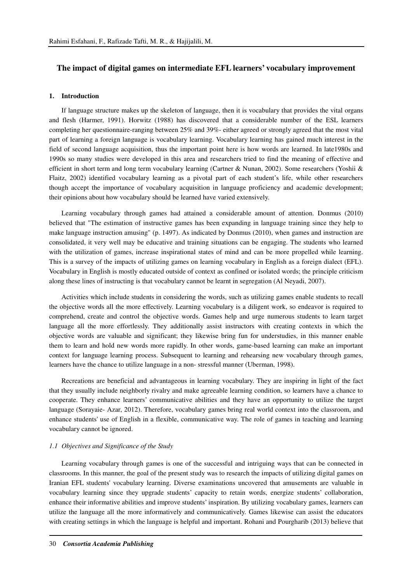### **The impact of digital games on intermediate EFL learners' vocabulary improvement**

### **1. Introduction**

If language structure makes up the skeleton of language, then it is vocabulary that provides the vital organs and flesh (Harmer, 1991). Horwitz (1988) has discovered that a considerable number of the ESL learners completing her questionnaire-ranging between 25% and 39%- either agreed or strongly agreed that the most vital part of learning a foreign language is vocabulary learning. Vocabulary learning has gained much interest in the field of second language acquisition, thus the important point here is how words are learned. In late1980s and 1990s so many studies were developed in this area and researchers tried to find the meaning of effective and efficient in short term and long term vocabulary learning (Cartner & Nunan, 2002). Some researchers (Yoshii & Flaitz, 2002) identified vocabulary learning as a pivotal part of each student's life, while other researchers though accept the importance of vocabulary acquisition in language proficiency and academic development; their opinions about how vocabulary should be learned have varied extensively.

Learning vocabulary through games had attained a considerable amount of attention. Donmus (2010) believed that "The estimation of instructive games has been expanding in language training since they help to make language instruction amusing" (p. 1497). As indicated by Donmus (2010), when games and instruction are consolidated, it very well may be educative and training situations can be engaging. The students who learned with the utilization of games, increase inspirational states of mind and can be more propelled while learning. This is a survey of the impacts of utilizing games on learning vocabulary in English as a foreign dialect (EFL). Vocabulary in English is mostly educated outside of context as confined or isolated words; the principle criticism along these lines of instructing is that vocabulary cannot be learnt in segregation (Al Neyadi, 2007).

Activities which include students in considering the words, such as utilizing games enable students to recall the objective words all the more effectively. Learning vocabulary is a diligent work, so endeavor is required to comprehend, create and control the objective words. Games help and urge numerous students to learn target language all the more effortlessly. They additionally assist instructors with creating contexts in which the objective words are valuable and significant; they likewise bring fun for understudies, in this manner enable them to learn and hold new words more rapidly. In other words, game-based learning can make an important context for language learning process. Subsequent to learning and rehearsing new vocabulary through games, learners have the chance to utilize language in a non- stressful manner (Uberman, 1998).

Recreations are beneficial and advantageous in learning vocabulary. They are inspiring in light of the fact that they usually include neighborly rivalry and make agreeable learning condition, so learners have a chance to cooperate. They enhance learners' communicative abilities and they have an opportunity to utilize the target language (Sorayaie- Azar, 2012). Therefore, vocabulary games bring real world context into the classroom, and enhance students' use of English in a flexible, communicative way. The role of games in teaching and learning vocabulary cannot be ignored.

### *1.1 Objectives and Significance of the Study*

Learning vocabulary through games is one of the successful and intriguing ways that can be connected in classrooms. In this manner, the goal of the present study was to research the impacts of utilizing digital games on Iranian EFL students' vocabulary learning. Diverse examinations uncovered that amusements are valuable in vocabulary learning since they upgrade students' capacity to retain words, energize students' collaboration, enhance their informative abilities and improve students' inspiration. By utilizing vocabulary games, learners can utilize the language all the more informatively and communicatively. Games likewise can assist the educators with creating settings in which the language is helpful and important. Rohani and Pourgharib (2013) believe that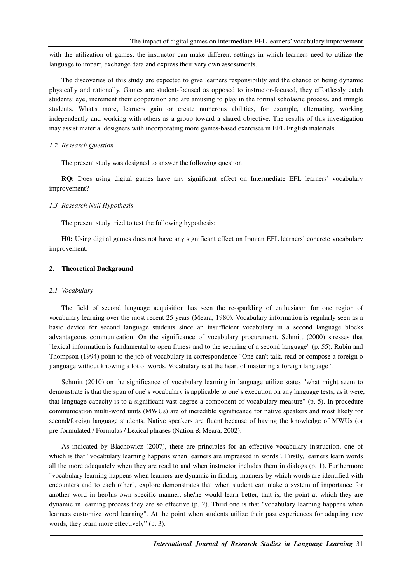with the utilization of games, the instructor can make different settings in which learners need to utilize the language to impart, exchange data and express their very own assessments.

The discoveries of this study are expected to give learners responsibility and the chance of being dynamic physically and rationally. Games are student-focused as opposed to instructor-focused, they effortlessly catch students' eye, increment their cooperation and are amusing to play in the formal scholastic process, and mingle students. What's more, learners gain or create numerous abilities, for example, alternating, working independently and working with others as a group toward a shared objective. The results of this investigation may assist material designers with incorporating more games-based exercises in EFL English materials.

### *1.2 Research Question*

The present study was designed to answer the following question:

**RQ:** Does using digital games have any significant effect on Intermediate EFL learners' vocabulary improvement?

### *1.3 Research Null Hypothesis*

The present study tried to test the following hypothesis:

**H0:** Using digital games does not have any significant effect on Iranian EFL learners' concrete vocabulary improvement.

### **2. Theoretical Background**

#### *2.1 Vocabulary*

The field of second language acquisition has seen the re-sparkling of enthusiasm for one region of vocabulary learning over the most recent 25 years (Meara, 1980). Vocabulary information is regularly seen as a basic device for second language students since an insufficient vocabulary in a second language blocks advantageous communication. On the significance of vocabulary procurement, Schmitt (2000) stresses that "lexical information is fundamental to open fitness and to the securing of a second language" (p. 55). Rubin and Thompson (1994) point to the job of vocabulary in correspondence "One can't talk, read or compose a foreign o jlanguage without knowing a lot of words. Vocabulary is at the heart of mastering a foreign language".

Schmitt (2010) on the significance of vocabulary learning in language utilize states "what might seem to demonstrate is that the span of one`s vocabulary is applicable to one`s execution on any language tests, as it were, that language capacity is to a significant vast degree a component of vocabulary measure" (p. 5). In procedure communication multi-word units (MWUs) are of incredible significance for native speakers and most likely for second/foreign language students. Native speakers are fluent because of having the knowledge of MWUs (or pre-formulated / Formulas / Lexical phrases (Nation & Meara, 2002).

As indicated by Blachowicz (2007), there are principles for an effective vocabulary instruction, one of which is that "vocabulary learning happens when learners are impressed in words". Firstly, learners learn words all the more adequately when they are read to and when instructor includes them in dialogs (p. 1). Furthermore "vocabulary learning happens when learners are dynamic in finding manners by which words are identified with encounters and to each other", explore demonstrates that when student can make a system of importance for another word in her/his own specific manner, she/he would learn better, that is, the point at which they are dynamic in learning process they are so effective (p. 2). Third one is that "vocabulary learning happens when learners customize word learning". At the point when students utilize their past experiences for adapting new words, they learn more effectively" (p. 3).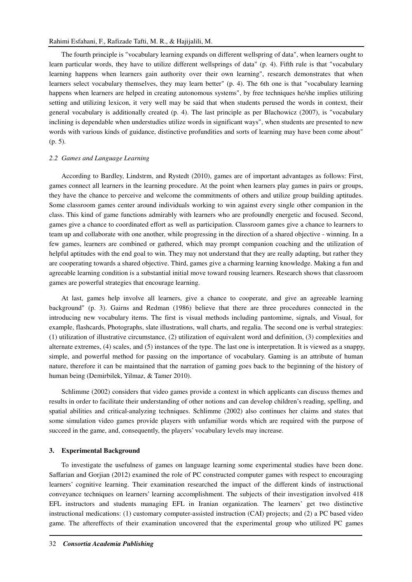The fourth principle is "vocabulary learning expands on different wellspring of data", when learners ought to learn particular words, they have to utilize different wellsprings of data" (p. 4). Fifth rule is that "vocabulary learning happens when learners gain authority over their own learning", research demonstrates that when learners select vocabulary themselves, they may learn better" (p. 4). The 6th one is that "vocabulary learning happens when learners are helped in creating autonomous systems", by free techniques he/she implies utilizing setting and utilizing lexicon, it very well may be said that when students perused the words in context, their general vocabulary is additionally created (p. 4). The last principle as per Blachowicz (2007), is "vocabulary inclining is dependable when understudies utilize words in significant ways", when students are presented to new words with various kinds of guidance, distinctive profundities and sorts of learning may have been come about" (p. 5).

### *2.2 Games and Language Learning*

According to Bardley, Lindstrm, and Rystedt (2010), games are of important advantages as follows: First, games connect all learners in the learning procedure. At the point when learners play games in pairs or groups, they have the chance to perceive and welcome the commitments of others and utilize group building aptitudes. Some classroom games center around individuals working to win against every single other companion in the class. This kind of game functions admirably with learners who are profoundly energetic and focused. Second, games give a chance to coordinated effort as well as participation. Classroom games give a chance to learners to team up and collaborate with one another, while progressing in the direction of a shared objective - winning. In a few games, learners are combined or gathered, which may prompt companion coaching and the utilization of helpful aptitudes with the end goal to win. They may not understand that they are really adapting, but rather they are cooperating towards a shared objective. Third, games give a charming learning knowledge. Making a fun and agreeable learning condition is a substantial initial move toward rousing learners. Research shows that classroom games are powerful strategies that encourage learning.

At last, games help involve all learners, give a chance to cooperate, and give an agreeable learning background" (p. 3). Gairns and Redman (1986) believe that there are three procedures connected in the introducing new vocabulary items. The first is visual methods including pantomime, signals, and Visual, for example, flashcards, Photographs, slate illustrations, wall charts, and regalia. The second one is verbal strategies: (1) utilization of illustrative circumstance, (2) utilization of equivalent word and definition, (3) complexities and alternate extremes, (4) scales, and (5) instances of the type. The last one is interpretation. It is viewed as a snappy, simple, and powerful method for passing on the importance of vocabulary. Gaming is an attribute of human nature, therefore it can be maintained that the narration of gaming goes back to the beginning of the history of human being (Demirbilek, Yilmaz, & Tamer 2010).

Schlimme (2002) considers that video games provide a context in which applicants can discuss themes and results in order to facilitate their understanding of other notions and can develop children's reading, spelling, and spatial abilities and critical-analyzing techniques. Schlimme (2002) also continues her claims and states that some simulation video games provide players with unfamiliar words which are required with the purpose of succeed in the game, and, consequently, the players' vocabulary levels may increase.

### **3. Experimental Background**

To investigate the usefulness of games on language learning some experimental studies have been done. Saffarian and Gorjian (2012) examined the role of PC constructed computer games with respect to encouraging learners' cognitive learning. Their examination researched the impact of the different kinds of instructional conveyance techniques on learners' learning accomplishment. The subjects of their investigation involved 418 EFL instructors and students managing EFL in Iranian organization. The learners' get two distinctive instructional medications: (1) customary computer-assisted instruction (CAI) projects; and (2) a PC based video game. The aftereffects of their examination uncovered that the experimental group who utilized PC games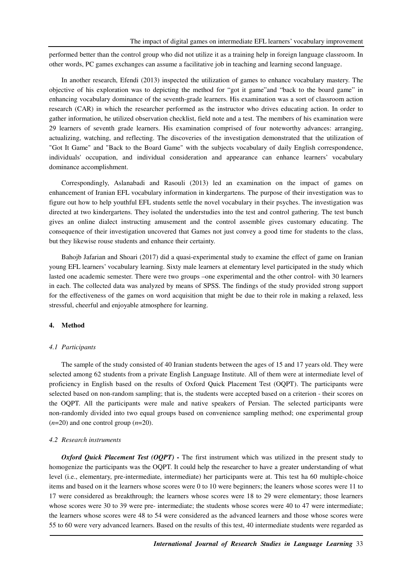performed better than the control group who did not utilize it as a training help in foreign language classroom. In other words, PC games exchanges can assume a facilitative job in teaching and learning second language.

In another research, Efendi (2013) inspected the utilization of games to enhance vocabulary mastery. The objective of his exploration was to depicting the method for "got it game"and "back to the board game" in enhancing vocabulary dominance of the seventh-grade learners. His examination was a sort of classroom action research (CAR) in which the researcher performed as the instructor who drives educating action. In order to gather information, he utilized observation checklist, field note and a test. The members of his examination were 29 learners of seventh grade learners. His examination comprised of four noteworthy advances: arranging, actualizing, watching, and reflecting. The discoveries of the investigation demonstrated that the utilization of "Got It Game" and "Back to the Board Game" with the subjects vocabulary of daily English correspondence, individuals' occupation, and individual consideration and appearance can enhance learners' vocabulary dominance accomplishment.

Correspondingly, Aslanabadi and Rasouli (2013) led an examination on the impact of games on enhancement of Iranian EFL vocabulary information in kindergartens. The purpose of their investigation was to figure out how to help youthful EFL students settle the novel vocabulary in their psyches. The investigation was directed at two kindergartens. They isolated the understudies into the test and control gathering. The test bunch gives an online dialect instructing amusement and the control assemble gives customary educating. The consequence of their investigation uncovered that Games not just convey a good time for students to the class, but they likewise rouse students and enhance their certainty.

Bahojb Jafarian and Shoari (2017) did a quasi-experimental study to examine the effect of game on Iranian young EFL learners' vocabulary learning. Sixty male learners at elementary level participated in the study which lasted one academic semester. There were two groups –one experimental and the other control- with 30 learners in each. The collected data was analyzed by means of SPSS. The findings of the study provided strong support for the effectiveness of the games on word acquisition that might be due to their role in making a relaxed, less stressful, cheerful and enjoyable atmosphere for learning.

### **4. Method**

#### *4.1 Participants*

The sample of the study consisted of 40 Iranian students between the ages of 15 and 17 years old. They were selected among 62 students from a private English Language Institute. All of them were at intermediate level of proficiency in English based on the results of Oxford Quick Placement Test (OQPT). The participants were selected based on non-random sampling; that is, the students were accepted based on a criterion - their scores on the OQPT. All the participants were male and native speakers of Persian. The selected participants were non-randomly divided into two equal groups based on convenience sampling method; one experimental group  $(n=20)$  and one control group  $(n=20)$ .

#### *4.2 Research instruments*

*Oxford Quick Placement Test (OQPT) -* The first instrument which was utilized in the present study to homogenize the participants was the OQPT. It could help the researcher to have a greater understanding of what level (i.e., elementary, pre-intermediate, intermediate) her participants were at. This test ha 60 multiple-choice items and based on it the learners whose scores were 0 to 10 were beginners; the leaners whose scores were 11 to 17 were considered as breakthrough; the learners whose scores were 18 to 29 were elementary; those learners whose scores were 30 to 39 were pre- intermediate; the students whose scores were 40 to 47 were intermediate; the learners whose scores were 48 to 54 were considered as the advanced learners and those whose scores were 55 to 60 were very advanced learners. Based on the results of this test, 40 intermediate students were regarded as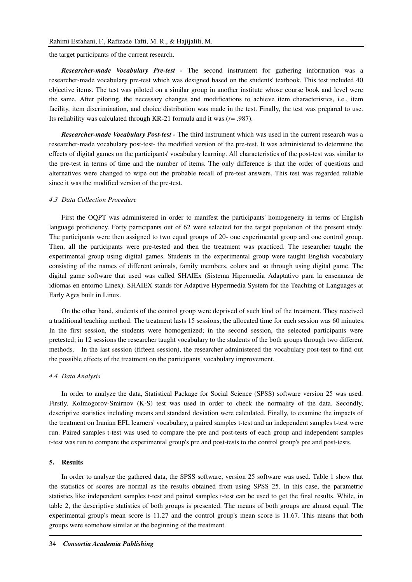the target participants of the current research.

*Researcher-made Vocabulary Pre-test -* The second instrument for gathering information was a researcher-made vocabulary pre-test which was designed based on the students' textbook. This test included 40 objective items. The test was piloted on a similar group in another institute whose course book and level were the same. After piloting, the necessary changes and modifications to achieve item characteristics, i.e., item facility, item discrimination, and choice distribution was made in the test. Finally, the test was prepared to use. Its reliability was calculated through KR-21 formula and it was (*r*= .987).

*Researcher-made Vocabulary Post-test -* The third instrument which was used in the current research was a researcher-made vocabulary post-test- the modified version of the pre-test. It was administered to determine the effects of digital games on the participants' vocabulary learning. All characteristics of the post-test was similar to the pre-test in terms of time and the number of items. The only difference is that the order of questions and alternatives were changed to wipe out the probable recall of pre-test answers. This test was regarded reliable since it was the modified version of the pre-test.

### *4.3 Data Collection Procedure*

First the OQPT was administered in order to manifest the participants' homogeneity in terms of English language proficiency. Forty participants out of 62 were selected for the target population of the present study. The participants were then assigned to two equal groups of 20- one experimental group and one control group. Then, all the participants were pre-tested and then the treatment was practiced. The researcher taught the experimental group using digital games. Students in the experimental group were taught English vocabulary consisting of the names of different animals, family members, colors and so through using digital game. The digital game software that used was called SHAIEx (Sistema Hipermedia Adaptativo para la ensenanza de idiomas en entorno Linex). SHAIEX stands for Adaptive Hypermedia System for the Teaching of Languages at Early Ages built in Linux.

On the other hand, students of the control group were deprived of such kind of the treatment. They received a traditional teaching method. The treatment lasts 15 sessions; the allocated time for each session was 60 minutes. In the first session, the students were homogenized; in the second session, the selected participants were pretested; in 12 sessions the researcher taught vocabulary to the students of the both groups through two different methods. In the last session (fifteen session), the researcher administered the vocabulary post-test to find out the possible effects of the treatment on the participants' vocabulary improvement.

### *4.4 Data Analysis*

In order to analyze the data, Statistical Package for Social Science (SPSS) software version 25 was used. Firstly, Kolmogorov-Smirnov (K-S) test was used in order to check the normality of the data. Secondly, descriptive statistics including means and standard deviation were calculated. Finally, to examine the impacts of the treatment on Iranian EFL learners' vocabulary, a paired samples t-test and an independent samples t-test were run. Paired samples t-test was used to compare the pre and post-tests of each group and independent samples t-test was run to compare the experimental group's pre and post-tests to the control group's pre and post-tests.

### **5. Results**

In order to analyze the gathered data, the SPSS software, version 25 software was used. Table 1 show that the statistics of scores are normal as the results obtained from using SPSS 25. In this case, the parametric statistics like independent samples t-test and paired samples t-test can be used to get the final results. While, in table 2, the descriptive statistics of both groups is presented. The means of both groups are almost equal. The experimental group's mean score is 11.27 and the control group's mean score is 11.67. This means that both groups were somehow similar at the beginning of the treatment.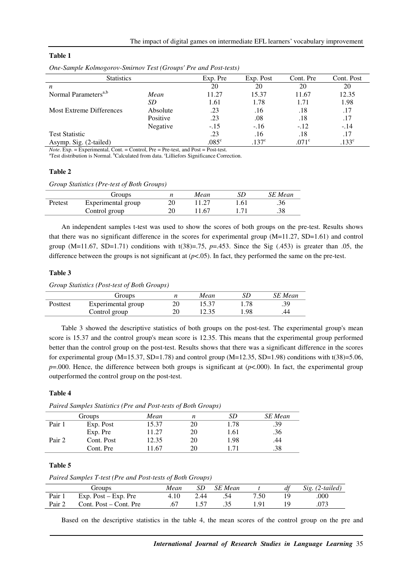### **Table 1**

| <b>Statistics</b>                |          | Exp. Pre       | Exp. Post     | Cont. Pre     | Cont. Post    |
|----------------------------------|----------|----------------|---------------|---------------|---------------|
| n                                |          | 20             | 20            | 20            | 20            |
| Normal Parameters <sup>a,b</sup> | Mean     | 11.27          | 15.37         | 11.67         | 12.35         |
|                                  | SD       | 1.61           | 1.78          | 1.71          | 1.98          |
| Most Extreme Differences         | Absolute | .23            | .16           | .18           | .17           |
|                                  | Positive | .23            | .08           | .18           | .17           |
|                                  | Negative | $-.15$         | $-.16$        | $-.12$        | $-.14$        |
| <b>Test Statistic</b>            |          | .23            | .16           | .18           | .17           |
| Asymp. Sig. (2-tailed)           |          | $.085^{\circ}$ | $137^{\circ}$ | $071^{\circ}$ | $133^{\circ}$ |

*One-Sample Kolmogorov-Smirnov Test (Groups' Pre and Post-tests)* 

*Note*. Exp.  $=$  Experimental, Cont.  $=$  Control, Pre  $=$  Pre-test, and Post  $=$  Post-test.

<sup>a</sup>Test distribution is Normal. <sup>b</sup>Calculated from data. <sup>c</sup>Lilliefors Significance Correction.

### **Table 2**

*Group Statistics (Pre-test of Both Groups)* 

|         | Groups             | Mean | SD   | <b>SE</b> Mean |
|---------|--------------------|------|------|----------------|
| Pretest | Experimental group |      | 1.61 | .36            |
|         | Control group      | 1.67 |      | .38            |

An independent samples t-test was used to show the scores of both groups on the pre-test. Results shows that there was no significant difference in the scores for experimental group (M=11.27, SD=1.61) and control group  $(M=11.67, SD=1.71)$  conditions with  $t(38)=.75$ ,  $p=.453$ . Since the Sig (.453) is greater than .05, the difference between the groups is not significant at  $(p<.05)$ . In fact, they performed the same on the pre-test.

### **Table 3**

*Group Statistics (Post-test of Both Groups)* 

|          | Groups             | Mean  | SD  | SE Mean |
|----------|--------------------|-------|-----|---------|
| Posttest | Experimental group |       | .78 | .39     |
|          | Control group      | 12.35 | .98 | 44      |

Table 3 showed the descriptive statistics of both groups on the post-test. The experimental group's mean score is 15.37 and the control group's mean score is 12.35. This means that the experimental group performed better than the control group on the post-test. Results shows that there was a significant difference in the scores for experimental group  $(M=15.37, SD=1.78)$  and control group  $(M=12.35, SD=1.98)$  conditions with t(38)=5.06,  $p=000$ . Hence, the difference between both groups is significant at ( $p<000$ ). In fact, the experimental group outperformed the control group on the post-test.

### **Table 4**

*Paired Samples Statistics (Pre and Post-tests of Both Groups)* 

|        | Groups     | Mean  | n  | SD   | <b>SE</b> Mean |
|--------|------------|-------|----|------|----------------|
| Pair 1 | Exp. Post  | 15.37 | 20 | 1.78 | .39            |
|        | Exp. Pre   | 11.27 | 20 | 1.61 | .36            |
| Pair 2 | Cont. Post | 12.35 | 20 | 1.98 | .44            |
|        | Cont. Pre  | 1.67  | 20 | 171  | .38            |

### **Table 5**

*Paired Samples T-test (Pre and Post-tests of Both Groups)* 

|        | Groups                 | Mean |      | SD SE Mean |      | df | Sig. (2-tailed) |
|--------|------------------------|------|------|------------|------|----|-----------------|
| Pair 1 | Exp. Post – Exp. Pre   | 4.10 | 2.44 | - 54       | 7.50 |    | .000            |
| Pair 2 | Cont. Post – Cont. Pre | .67  |      | - 35       | 191  |    | .073            |

Based on the descriptive statistics in the table 4, the mean scores of the control group on the pre and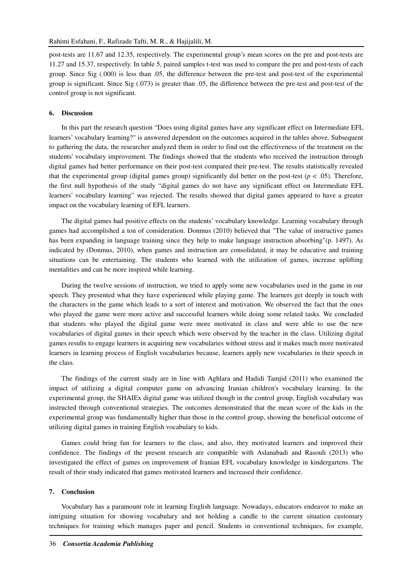post-tests are 11.67 and 12.35, respectively. The experimental group's mean scores on the pre and post-tests are 11.27 and 15.37, respectively. In table 5, paired samples t-test was used to compare the pre and post-tests of each group. Since Sig (.000) is less than .05, the difference between the pre-test and post-test of the experimental group is significant. Since Sig (.073) is greater than .05, the difference between the pre-test and post-test of the control group is not significant.

### **6. Discussion**

In this part the research question "Does using digital games have any significant effect on Intermediate EFL learners' vocabulary learning?" is answered dependent on the outcomes acquired in the tables above. Subsequent to gathering the data, the researcher analyzed them in order to find out the effectiveness of the treatment on the students' vocabulary improvement. The findings showed that the students who received the instruction through digital games had better performance on their post-test compared their pre-test. The results statistically revealed that the experimental group (digital games group) significantly did better on the post-test ( $p < .05$ ). Therefore, the first null hypothesis of the study "digital games do not have any significant effect on Intermediate EFL learners' vocabulary learning" was rejected. The results showed that digital games appeared to have a greater impact on the vocabulary learning of EFL learners.

The digital games had positive effects on the students' vocabulary knowledge. Learning vocabulary through games had accomplished a ton of consideration. Donmus (2010) believed that "The value of instructive games has been expanding in language training since they help to make language instruction absorbing"(p. 1497). As indicated by (Donmus, 2010), when games and instruction are consolidated, it may be educative and training situations can be entertaining. The students who learned with the utilization of games, increase uplifting mentalities and can be more inspired while learning.

During the twelve sessions of instruction, we tried to apply some new vocabularies used in the game in our speech. They presented what they have experienced while playing game. The learners get deeply in touch with the characters in the game which leads to a sort of interest and motivation. We observed the fact that the ones who played the game were more active and successful learners while doing some related tasks. We concluded that students who played the digital game were more motivated in class and were able to use the new vocabularies of digital games in their speech which were observed by the teacher in the class. Utilizing digital games results to engage learners in acquiring new vocabularies without stress and it makes much more motivated learners in learning process of English vocabularies because, learners apply new vocabularies in their speech in the class.

The findings of the current study are in line with Aghlara and Hadidi Tamjid (2011) who examined the impact of utilizing a digital computer game on advancing Iranian children's vocabulary learning. In the experimental group, the SHAIEx digital game was utilized though in the control group, English vocabulary was instructed through conventional strategies. The outcomes demonstrated that the mean score of the kids in the experimental group was fundamentally higher than those in the control group, showing the beneficial outcome of utilizing digital games in training English vocabulary to kids.

Games could bring fun for learners to the class, and also, they motivated learners and improved their confidence. The findings of the present research are compatible with Aslanabadi and Rasouli (2013) who investigated the effect of games on improvement of Iranian EFL vocabulary knowledge in kindergartens. The result of their study indicated that games motivated learners and increased their confidence.

#### **7. Conclusion**

Vocabulary has a paramount role in learning English language. Nowadays, educators endeavor to make an intriguing situation for showing vocabulary and not holding a candle to the current situation customary techniques for training which manages paper and pencil. Students in conventional techniques, for example,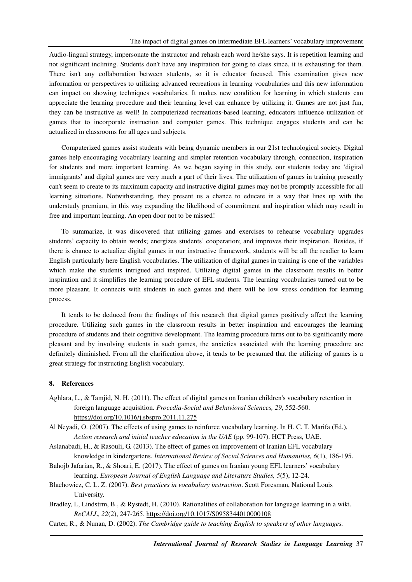Audio-lingual strategy, impersonate the instructor and rehash each word he/she says. It is repetition learning and not significant inclining. Students don't have any inspiration for going to class since, it is exhausting for them. There isn't any collaboration between students, so it is educator focused. This examination gives new information or perspectives to utilizing advanced recreations in learning vocabularies and this new information can impact on showing techniques vocabularies. It makes new condition for learning in which students can appreciate the learning procedure and their learning level can enhance by utilizing it. Games are not just fun, they can be instructive as well! In computerized recreations-based learning, educators influence utilization of games that to incorporate instruction and computer games. This technique engages students and can be actualized in classrooms for all ages and subjects.

Computerized games assist students with being dynamic members in our 21st technological society. Digital games help encouraging vocabulary learning and simpler retention vocabulary through, connection, inspiration for students and more important learning. As we began saying in this study, our students today are 'digital immigrants' and digital games are very much a part of their lives. The utilization of games in training presently can't seem to create to its maximum capacity and instructive digital games may not be promptly accessible for all learning situations. Notwithstanding, they present us a chance to educate in a way that lines up with the understudy premium, in this way expanding the likelihood of commitment and inspiration which may result in free and important learning. An open door not to be missed!

To summarize, it was discovered that utilizing games and exercises to rehearse vocabulary upgrades students' capacity to obtain words; energizes students' cooperation; and improves their inspiration. Besides, if there is chance to actualize digital games in our instructive framework, students will be all the readier to learn English particularly here English vocabularies. The utilization of digital games in training is one of the variables which make the students intrigued and inspired. Utilizing digital games in the classroom results in better inspiration and it simplifies the learning procedure of EFL students. The learning vocabularies turned out to be more pleasant. It connects with students in such games and there will be low stress condition for learning process.

It tends to be deduced from the findings of this research that digital games positively affect the learning procedure. Utilizing such games in the classroom results in better inspiration and encourages the learning procedure of students and their cognitive development. The learning procedure turns out to be significantly more pleasant and by involving students in such games, the anxieties associated with the learning procedure are definitely diminished. From all the clarification above, it tends to be presumed that the utilizing of games is a great strategy for instructing English vocabulary.

### **8. References**

- Aghlara, L., & Tamjid, N. H. (2011). The effect of digital games on Iranian children's vocabulary retention in foreign language acquisition. *Procedia-Social and Behavioral Sciences, 29*, 552-560. https://doi.org/10.1016/j.sbspro.2011.11.275
- Al Neyadi, O. (2007). The effects of using games to reinforce vocabulary learning. In H. C. T. Marifa (Ed.), *Action research and initial teacher education in the UAE* (pp. 99-107). HCT Press, UAE.
- Aslanabadi, H., & Rasouli, G. (2013). The effect of games on improvement of Iranian EFL vocabulary knowledge in kindergartens. *International Review of Social Sciences and Humanities, 6*(1), 186-195.
- Bahojb Jafarian, R., & Shoari, E. (2017). The effect of games on Iranian young EFL learners' vocabulary learning. *European Journal of English Language and Literature Studies, 5*(5), 12-24.
- Blachowicz, C. L. Z. (2007). *Best practices in vocabulary instruction*. Scott Foresman, National Louis University.
- Bradley, L, Lindstrm, B., & Rystedt, H. (2010). Rationalities of collaboration for language learning in a wiki. *ReCALL, 22*(2), 247-265. https://doi.org/10.1017/S0958344010000108
- Carter, R., & Nunan, D. (2002). *The Cambridge guide to teaching English to speakers of other languages.*